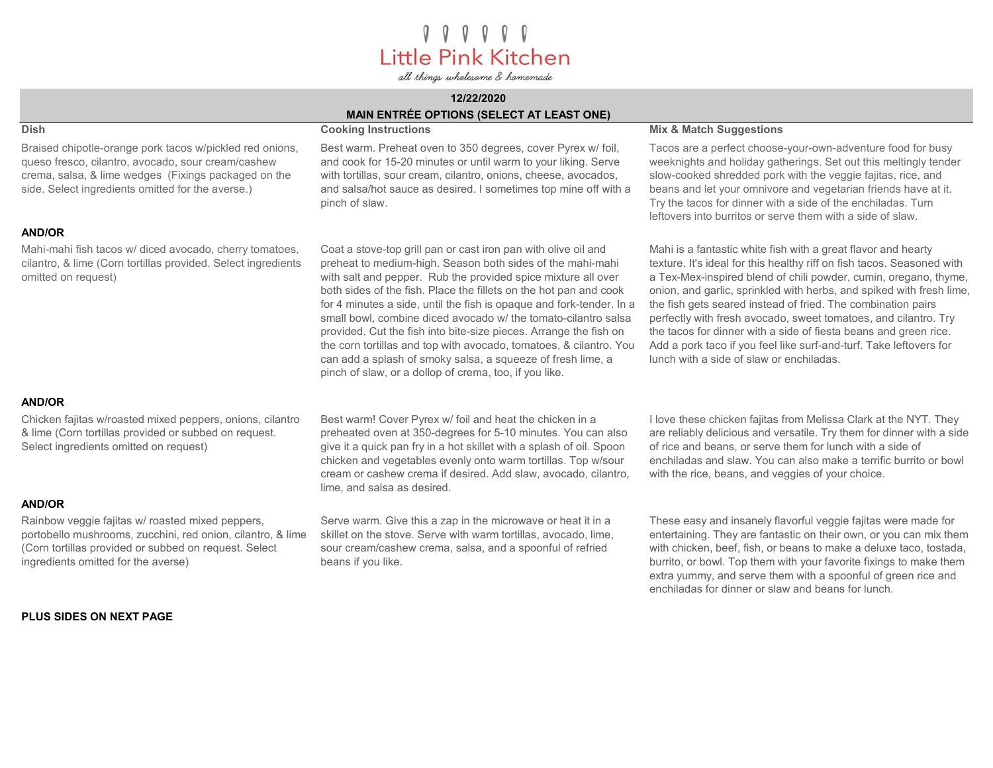000000 Little Pink Kitchen

all things wholesome & homemade

## 12/22/2020 MAIN ENTRÉE OPTIONS (SELECT AT LEAST ONE)

## Braised chipotle-orange pork tacos w/pickled red onions, queso fresco, cilantro, avocado, sour cream/cashew crema, salsa, & lime wedges (Fixings packaged on the side. Select ingredients omitted for the averse.)

### AND/OR

Mahi-mahi fish tacos w/ diced avocado, cherry tomatoes, cilantro, & lime (Corn tortillas provided. Select ingredients omitted on request)

### AND/OR

Chicken fajitas w/roasted mixed peppers, onions, cilantro & lime (Corn tortillas provided or subbed on request. Select ingredients omitted on request)

### AND/OR

Rainbow veggie fajitas w/ roasted mixed peppers, portobello mushrooms, zucchini, red onion, cilantro, & lime (Corn tortillas provided or subbed on request. Select ingredients omitted for the averse)

## PLUS SIDES ON NEXT PAGE

Best warm. Preheat oven to 350 degrees, cover Pyrex w/ foil, and cook for 15-20 minutes or until warm to your liking. Serve with tortillas, sour cream, cilantro, onions, cheese, avocados, and salsa/hot sauce as desired. I sometimes top mine off with a pinch of slaw.

Coat a stove-top grill pan or cast iron pan with olive oil and preheat to medium-high. Season both sides of the mahi-mahi with salt and pepper. Rub the provided spice mixture all over both sides of the fish. Place the fillets on the hot pan and cook for 4 minutes a side, until the fish is opaque and fork-tender. In a small bowl, combine diced avocado w/ the tomato-cilantro salsa provided. Cut the fish into bite-size pieces. Arrange the fish on the corn tortillas and top with avocado, tomatoes, & cilantro. You can add a splash of smoky salsa, a squeeze of fresh lime, a pinch of slaw, or a dollop of crema, too, if you like.

## Dish Cooking Instructions **Cooking Instructions** Mix & Match Suggestions

Tacos are a perfect choose-your-own-adventure food for busy weeknights and holiday gatherings. Set out this meltingly tender slow-cooked shredded pork with the veggie fajitas, rice, and beans and let your omnivore and vegetarian friends have at it. Try the tacos for dinner with a side of the enchiladas. Turn leftovers into burritos or serve them with a side of slaw.

Mahi is a fantastic white fish with a great flavor and hearty texture. It's ideal for this healthy riff on fish tacos. Seasoned with a Tex-Mex-inspired blend of chili powder, cumin, oregano, thyme, onion, and garlic, sprinkled with herbs, and spiked with fresh lime, the fish gets seared instead of fried. The combination pairs perfectly with fresh avocado, sweet tomatoes, and cilantro. Try the tacos for dinner with a side of fiesta beans and green rice. Add a pork taco if you feel like surf-and-turf. Take leftovers for lunch with a side of slaw or enchiladas.

Best warm! Cover Pyrex w/ foil and heat the chicken in a preheated oven at 350-degrees for 5-10 minutes. You can also give it a quick pan fry in a hot skillet with a splash of oil. Spoon chicken and vegetables evenly onto warm tortillas. Top w/sour cream or cashew crema if desired. Add slaw, avocado, cilantro, lime, and salsa as desired.

Serve warm. Give this a zap in the microwave or heat it in a skillet on the stove. Serve with warm tortillas, avocado, lime, sour cream/cashew crema, salsa, and a spoonful of refried beans if you like.

I love these chicken fajitas from Melissa Clark at the NYT. They are reliably delicious and versatile. Try them for dinner with a side of rice and beans, or serve them for lunch with a side of enchiladas and slaw. You can also make a terrific burrito or bowl with the rice, beans, and veggies of your choice.

These easy and insanely flavorful veggie fajitas were made for entertaining. They are fantastic on their own, or you can mix them with chicken, beef, fish, or beans to make a deluxe taco, tostada, burrito, or bowl. Top them with your favorite fixings to make them extra yummy, and serve them with a spoonful of green rice and enchiladas for dinner or slaw and beans for lunch.